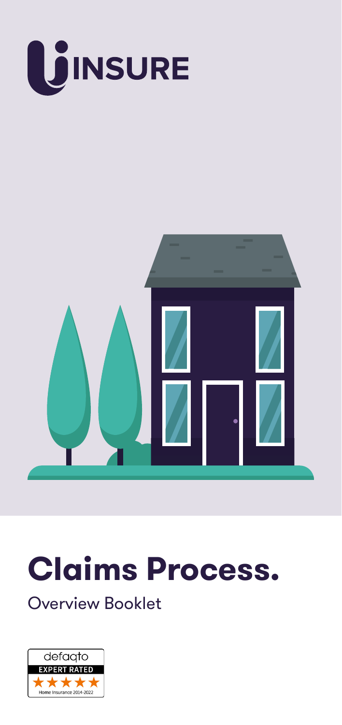

# **Claims Process.**

Overview Booklet

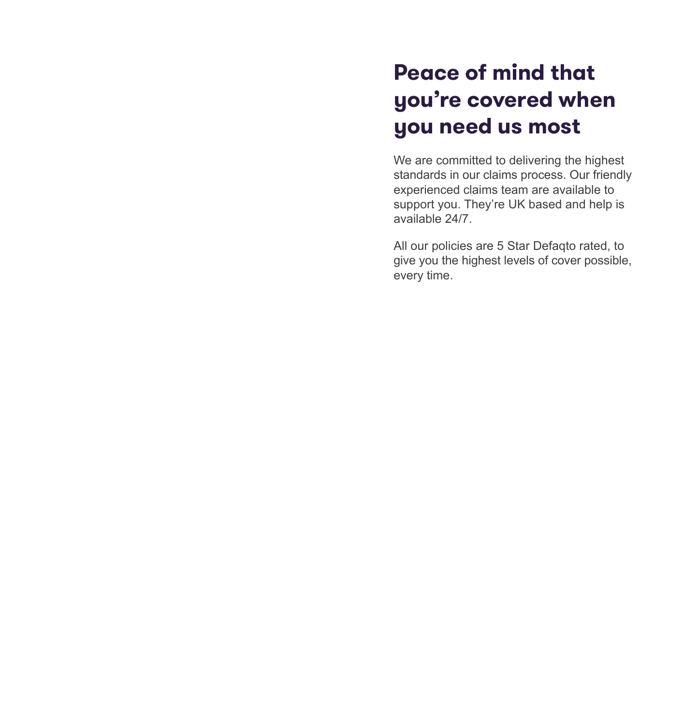# **Peace of mind that you're covered when you need us most**

We are committed to delivering the highest standards in our claims process. Our friendly experienced claims team are available to support you. They're UK based and help is available 24/7.

All our policies are 5 Star Defaqto rated, to give you the highest levels of cover possible, every time.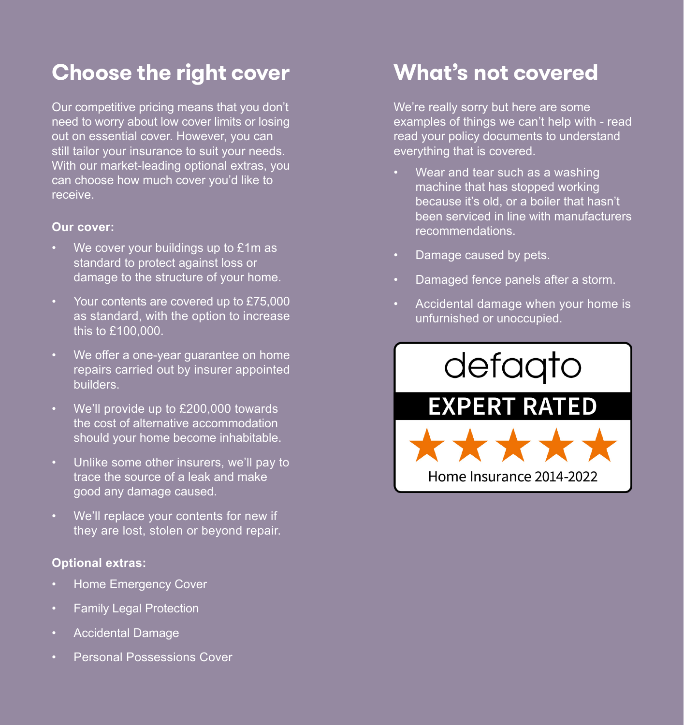## **Choose the right cover**

Our competitive pricing means that you don't need to worry about low cover limits or losing out on essential cover. However, you can still tailor your insurance to suit your needs. With our market-leading optional extras, you can choose how much cover you'd like to receive.

#### **Our cover:**

- We cover your buildings up to £1m as standard to protect against loss or damage to the structure of your home.
- Your contents are covered up to £75,000 as standard, with the option to increase this to £100,000.
- We offer a one-year guarantee on home repairs carried out by insurer appointed builders.
- We'll provide up to £200,000 towards the cost of alternative accommodation should your home become inhabitable.
- Unlike some other insurers, we'll pay to trace the source of a leak and make good any damage caused.
- We'll replace your contents for new if they are lost, stolen or beyond repair.

## **Optional extras:**

- Home Emergency Cover
- Family Legal Protection
- Accidental Damage
- Personal Possessions Cover

## **What's not covered**

We're really sorry but here are some examples of things we can't help with - read read your policy documents to understand everything that is covered.

- Wear and tear such as a washing machine that has stopped working because it's old, or a boiler that hasn't been serviced in line with manufacturers recommendations.
- Damage caused by pets.
- Damaged fence panels after a storm.
- Accidental damage when your home is unfurnished or unoccupied.

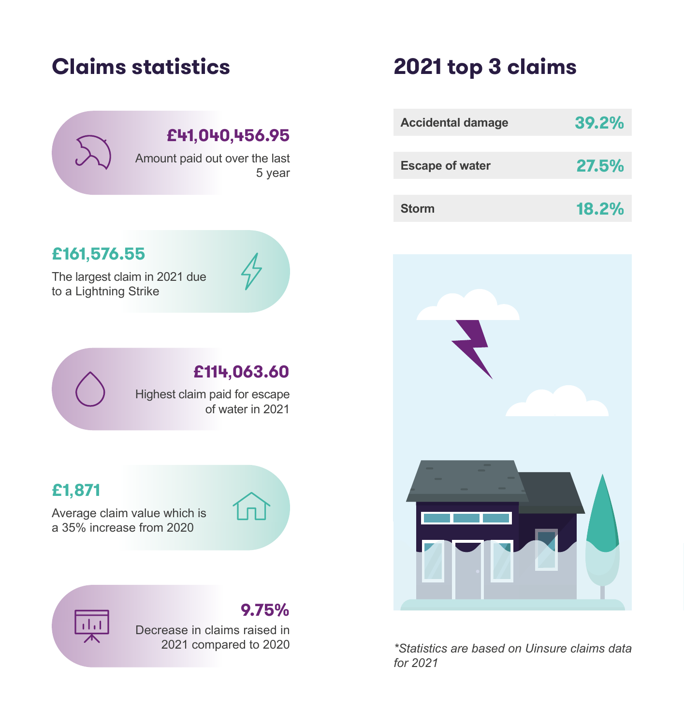

Amount paid out over the last 5 year

# **Claims statistics 2021 top 3 claims**

| <b>Accidental damage</b> | 39.2% |
|--------------------------|-------|
|                          |       |
| <b>Escape of water</b>   | 27.5% |
|                          |       |
| <b>Storm</b>             | 18.2% |



*\*Statistics are based on Uinsure claims data for 2021*

## **£161,576.55**

The largest claim in 2021 due to a Lightning Strike



## **£114,063.60**

Highest claim paid for escape of water in 2021

## **£1,871**

Average claim value which is a 35% increase from 2020



## **9.75%**

Decrease in claims raised in 2021 compared to 2020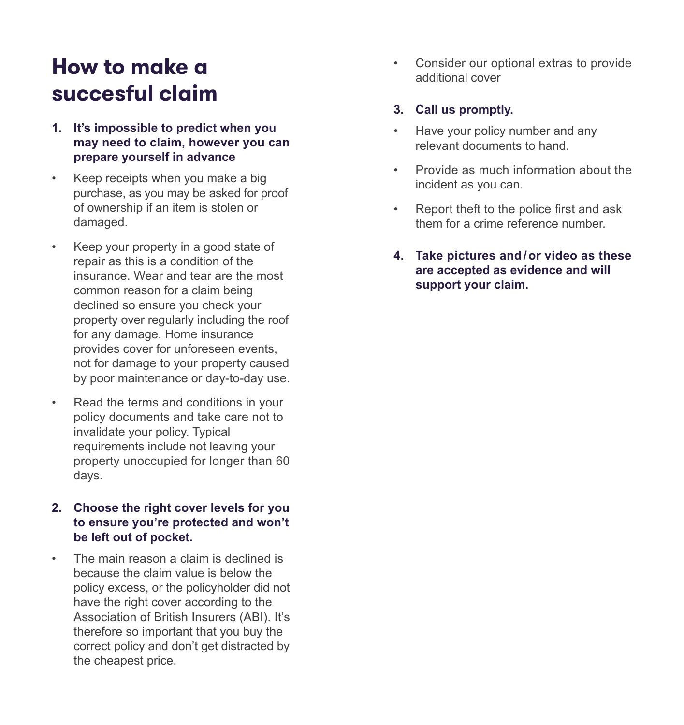# **How to make a succesful claim**

- **1. It's impossible to predict when you may need to claim, however you can prepare yourself in advance**
- Keep receipts when you make a big purchase, as you may be asked for proof of ownership if an item is stolen or damaged.
- Keep your property in a good state of repair as this is a condition of the insurance. Wear and tear are the most common reason for a claim being declined so ensure you check your property over regularly including the roof for any damage. Home insurance provides cover for unforeseen events, not for damage to your property caused by poor maintenance or day-to-day use.
- Read the terms and conditions in your policy documents and take care not to invalidate your policy. Typical requirements include not leaving your property unoccupied for longer than 60 days.
- **2. Choose the right cover levels for you to ensure you're protected and won't be left out of pocket.**
- The main reason a claim is declined is because the claim value is below the policy excess, or the policyholder did not have the right cover according to the Association of British Insurers (ABI). It's therefore so important that you buy the correct policy and don't get distracted by the cheapest price.

• Consider our optional extras to provide additional cover

### **3. Call us promptly.**

- Have your policy number and any relevant documents to hand.
- Provide as much information about the incident as you can.
- Report theft to the police first and ask them for a crime reference number.
- **4. Take pictures and / or video as these are accepted as evidence and will support your claim.**